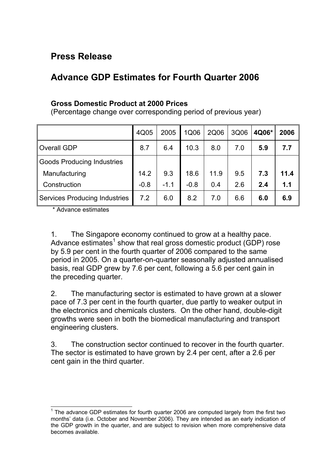## **Press Release**

## **Advance GDP Estimates for Fourth Quarter 2006**

## **Gross Domestic Product at 2000 Prices**

(Percentage change over corresponding period of previous year)

|                                      | 4Q05   | 2005   | 1Q06   | 2Q06 | 3Q06 | 4Q06* | 2006 |
|--------------------------------------|--------|--------|--------|------|------|-------|------|
| Overall GDP                          | 8.7    | 6.4    | 10.3   | 8.0  | 7.0  | 5.9   | 7.7  |
| <b>Goods Producing Industries</b>    |        |        |        |      |      |       |      |
| Manufacturing                        | 14.2   | 9.3    | 18.6   | 11.9 | 9.5  | 7.3   | 11.4 |
| Construction                         | $-0.8$ | $-1.1$ | $-0.8$ | 0.4  | 2.6  | 2.4   | 1.1  |
| <b>Services Producing Industries</b> | 7.2    | 6.0    | 8.2    | 7.0  | 6.6  | 6.0   | 6.9  |

\* Advance estimates

1. The Singapore economy continued to grow at a healthy pace. Advance estimates<sup>[1](#page-0-0)</sup> show that real gross domestic product (GDP) rose by 5.9 per cent in the fourth quarter of 2006 compared to the same period in 2005. On a quarter-on-quarter seasonally adjusted annualised basis, real GDP grew by 7.6 per cent, following a 5.6 per cent gain in the preceding quarter.

2. The manufacturing sector is estimated to have grown at a slower pace of 7.3 per cent in the fourth quarter, due partly to weaker output in the electronics and chemicals clusters. On the other hand, double-digit growths were seen in both the biomedical manufacturing and transport engineering clusters.

3. The construction sector continued to recover in the fourth quarter. The sector is estimated to have grown by 2.4 per cent, after a 2.6 per cent gain in the third quarter.

<span id="page-0-0"></span> $\overline{a}$  $1$  The advance GDP estimates for fourth quarter 2006 are computed largely from the first two months' data (i.e. October and November 2006). They are intended as an early indication of the GDP growth in the quarter, and are subject to revision when more comprehensive data becomes available.